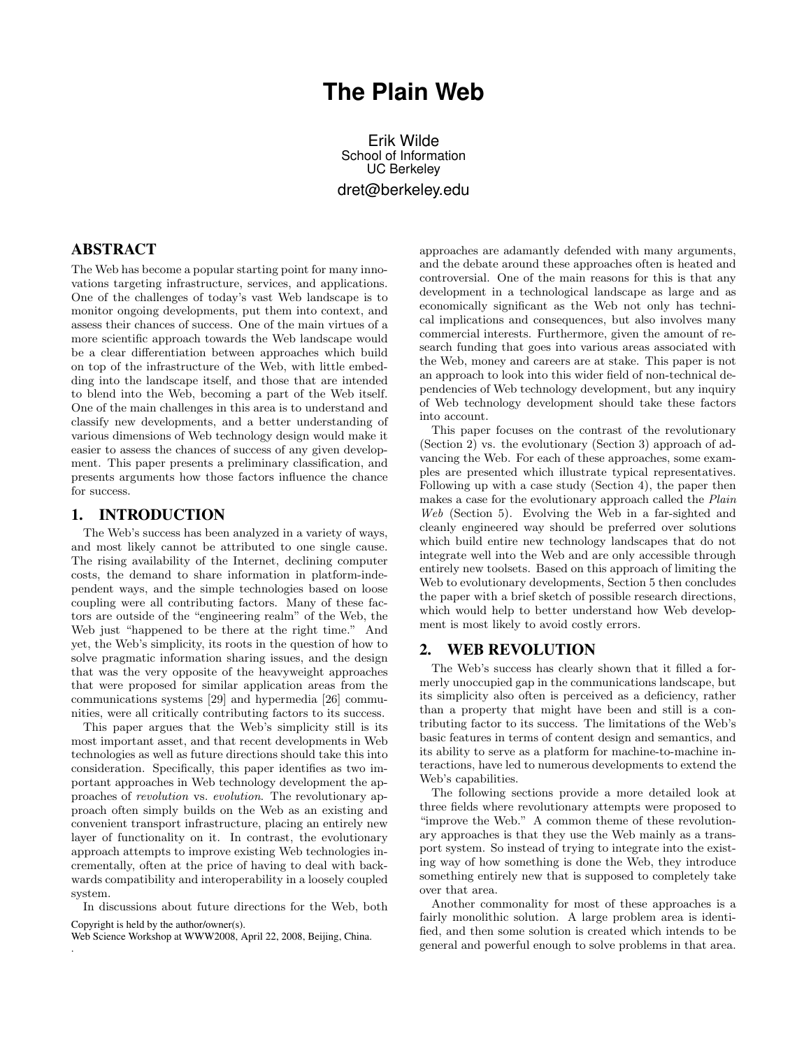# **The Plain Web**

Erik Wilde School of Information UC Berkeley dret@berkeley.edu

## ABSTRACT

The Web has become a popular starting point for many innovations targeting infrastructure, services, and applications. One of the challenges of today's vast Web landscape is to monitor ongoing developments, put them into context, and assess their chances of success. One of the main virtues of a more scientific approach towards the Web landscape would be a clear differentiation between approaches which build on top of the infrastructure of the Web, with little embedding into the landscape itself, and those that are intended to blend into the Web, becoming a part of the Web itself. One of the main challenges in this area is to understand and classify new developments, and a better understanding of various dimensions of Web technology design would make it easier to assess the chances of success of any given development. This paper presents a preliminary classification, and presents arguments how those factors influence the chance for success.

#### 1. INTRODUCTION

The Web's success has been analyzed in a variety of ways, and most likely cannot be attributed to one single cause. The rising availability of the Internet, declining computer costs, the demand to share information in platform-independent ways, and the simple technologies based on loose coupling were all contributing factors. Many of these factors are outside of the "engineering realm" of the Web, the Web just "happened to be there at the right time." And yet, the Web's simplicity, its roots in the question of how to solve pragmatic information sharing issues, and the design that was the very opposite of the heavyweight approaches that were proposed for similar application areas from the communications systems [\[29\]](#page-4-0) and hypermedia [\[26\]](#page-4-0) communities, were all critically contributing factors to its success.

This paper argues that the Web's simplicity still is its most important asset, and that recent developments in Web technologies as well as future directions should take this into consideration. Specifically, this paper identifies as two important approaches in Web technology development the approaches of revolution vs. evolution. The revolutionary approach often simply builds on the Web as an existing and convenient transport infrastructure, placing an entirely new layer of functionality on it. In contrast, the evolutionary approach attempts to improve existing Web technologies incrementally, often at the price of having to deal with backwards compatibility and interoperability in a loosely coupled system.

In discussions about future directions for the Web, both Copyright is held by the author/owner(s).

Web Science Workshop at WWW2008, April 22, 2008, Beijing, China.

.

approaches are adamantly defended with many arguments, and the debate around these approaches often is heated and controversial. One of the main reasons for this is that any development in a technological landscape as large and as economically significant as the Web not only has technical implications and consequences, but also involves many commercial interests. Furthermore, given the amount of research funding that goes into various areas associated with the Web, money and careers are at stake. This paper is not an approach to look into this wider field of non-technical dependencies of Web technology development, but any inquiry of Web technology development should take these factors into account.

This paper focuses on the contrast of the revolutionary (Section 2) vs. the evolutionary (Section [3\)](#page-2-0) approach of advancing the Web. For each of these approaches, some examples are presented which illustrate typical representatives. Following up with a case study (Section [4\)](#page-3-0), the paper then makes a case for the evolutionary approach called the Plain Web (Section [5\)](#page-3-0). Evolving the Web in a far-sighted and cleanly engineered way should be preferred over solutions which build entire new technology landscapes that do not integrate well into the Web and are only accessible through entirely new toolsets. Based on this approach of limiting the Web to evolutionary developments, Section [5](#page-3-0) then concludes the paper with a brief sketch of possible research directions, which would help to better understand how Web development is most likely to avoid costly errors.

#### 2. WEB REVOLUTION

The Web's success has clearly shown that it filled a formerly unoccupied gap in the communications landscape, but its simplicity also often is perceived as a deficiency, rather than a property that might have been and still is a contributing factor to its success. The limitations of the Web's basic features in terms of content design and semantics, and its ability to serve as a platform for machine-to-machine interactions, have led to numerous developments to extend the Web's capabilities.

The following sections provide a more detailed look at three fields where revolutionary attempts were proposed to "improve the Web." A common theme of these revolutionary approaches is that they use the Web mainly as a transport system. So instead of trying to integrate into the existing way of how something is done the Web, they introduce something entirely new that is supposed to completely take over that area.

Another commonality for most of these approaches is a fairly monolithic solution. A large problem area is identified, and then some solution is created which intends to be general and powerful enough to solve problems in that area.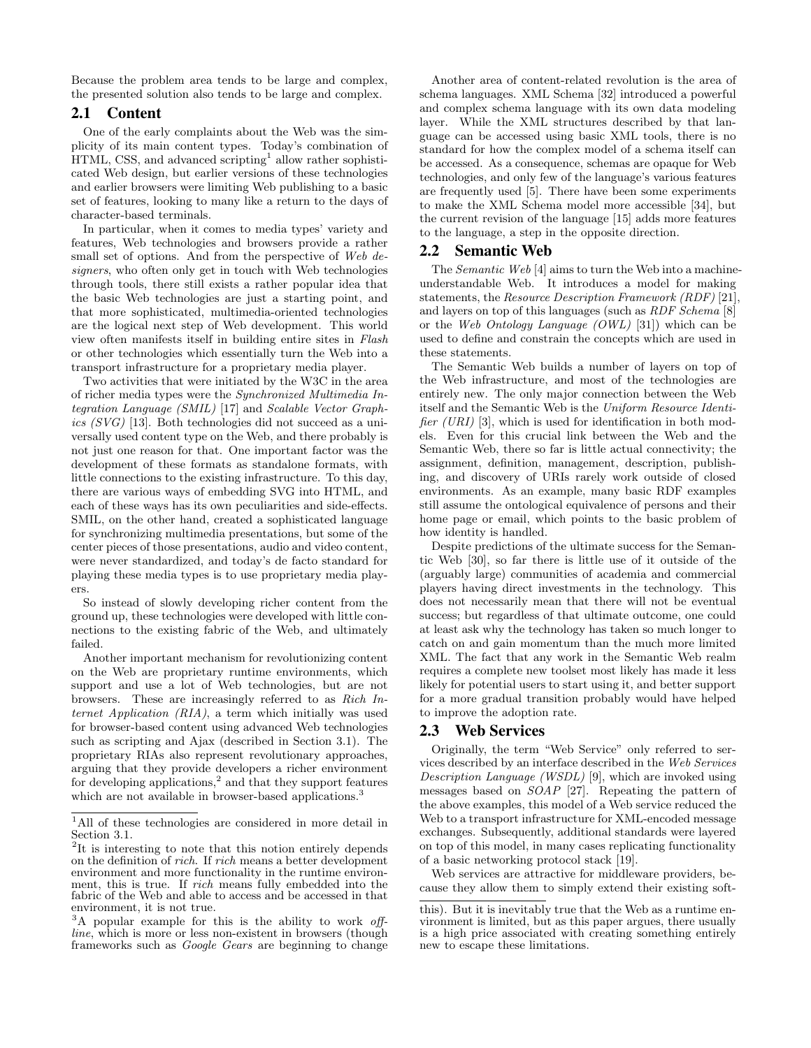<span id="page-1-0"></span>Because the problem area tends to be large and complex, the presented solution also tends to be large and complex.

#### 2.1 Content

One of the early complaints about the Web was the simplicity of its main content types. Today's combination of HTML, CSS, and advanced scripting<sup>1</sup> allow rather sophisticated Web design, but earlier versions of these technologies and earlier browsers were limiting Web publishing to a basic set of features, looking to many like a return to the days of character-based terminals.

In particular, when it comes to media types' variety and features, Web technologies and browsers provide a rather small set of options. And from the perspective of Web designers, who often only get in touch with Web technologies through tools, there still exists a rather popular idea that the basic Web technologies are just a starting point, and that more sophisticated, multimedia-oriented technologies are the logical next step of Web development. This world view often manifests itself in building entire sites in Flash or other technologies which essentially turn the Web into a transport infrastructure for a proprietary media player.

Two activities that were initiated by the W3C in the area of richer media types were the Synchronized Multimedia Integration Language (SMIL) [\[17\]](#page-4-0) and Scalable Vector Graphics (SVG) [\[13\]](#page-4-0). Both technologies did not succeed as a universally used content type on the Web, and there probably is not just one reason for that. One important factor was the development of these formats as standalone formats, with little connections to the existing infrastructure. To this day, there are various ways of embedding SVG into HTML, and each of these ways has its own peculiarities and side-effects. SMIL, on the other hand, created a sophisticated language for synchronizing multimedia presentations, but some of the center pieces of those presentations, audio and video content, were never standardized, and today's de facto standard for playing these media types is to use proprietary media players.

So instead of slowly developing richer content from the ground up, these technologies were developed with little connections to the existing fabric of the Web, and ultimately failed.

Another important mechanism for revolutionizing content on the Web are proprietary runtime environments, which support and use a lot of Web technologies, but are not browsers. These are increasingly referred to as Rich Internet Application (RIA), a term which initially was used for browser-based content using advanced Web technologies such as scripting and Ajax (described in Section [3.1\)](#page-2-0). The proprietary RIAs also represent revolutionary approaches, arguing that they provide developers a richer environment for developing applications,<sup>2</sup> and that they support features which are not available in browser-based applications.<sup>3</sup>

Another area of content-related revolution is the area of schema languages. XML Schema [\[32\]](#page-4-0) introduced a powerful and complex schema language with its own data modeling layer. While the XML structures described by that language can be accessed using basic XML tools, there is no standard for how the complex model of a schema itself can be accessed. As a consequence, schemas are opaque for Web technologies, and only few of the language's various features are frequently used [\[5\]](#page-4-0). There have been some experiments to make the XML Schema model more accessible [\[34\]](#page-4-0), but the current revision of the language [\[15\]](#page-4-0) adds more features to the language, a step in the opposite direction.

#### 2.2 Semantic Web

The Semantic Web [\[4\]](#page-4-0) aims to turn the Web into a machineunderstandable Web. It introduces a model for making statements, the Resource Description Framework (RDF) [\[21\]](#page-4-0), and layers on top of this languages (such as RDF Schema [\[8\]](#page-4-0) or the Web Ontology Language (OWL) [\[31\]](#page-4-0)) which can be used to define and constrain the concepts which are used in these statements.

The Semantic Web builds a number of layers on top of the Web infrastructure, and most of the technologies are entirely new. The only major connection between the Web itself and the Semantic Web is the Uniform Resource Identi-fier (URI) [\[3\]](#page-4-0), which is used for identification in both models. Even for this crucial link between the Web and the Semantic Web, there so far is little actual connectivity; the assignment, definition, management, description, publishing, and discovery of URIs rarely work outside of closed environments. As an example, many basic RDF examples still assume the ontological equivalence of persons and their home page or email, which points to the basic problem of how identity is handled.

Despite predictions of the ultimate success for the Semantic Web [\[30\]](#page-4-0), so far there is little use of it outside of the (arguably large) communities of academia and commercial players having direct investments in the technology. This does not necessarily mean that there will not be eventual success; but regardless of that ultimate outcome, one could at least ask why the technology has taken so much longer to catch on and gain momentum than the much more limited XML. The fact that any work in the Semantic Web realm requires a complete new toolset most likely has made it less likely for potential users to start using it, and better support for a more gradual transition probably would have helped to improve the adoption rate.

#### 2.3 Web Services

Originally, the term "Web Service" only referred to services described by an interface described in the Web Services Description Language (WSDL) [\[9\]](#page-4-0), which are invoked using messages based on SOAP [\[27\]](#page-4-0). Repeating the pattern of the above examples, this model of a Web service reduced the Web to a transport infrastructure for XML-encoded message exchanges. Subsequently, additional standards were layered on top of this model, in many cases replicating functionality of a basic networking protocol stack [\[19\]](#page-4-0).

Web services are attractive for middleware providers, because they allow them to simply extend their existing soft-

<sup>1</sup>All of these technologies are considered in more detail in Section [3.1.](#page-2-0)

<sup>&</sup>lt;sup>2</sup>It is interesting to note that this notion entirely depends on the definition of rich. If rich means a better development environment and more functionality in the runtime environment, this is true. If rich means fully embedded into the fabric of the Web and able to access and be accessed in that environment, it is not true.

<sup>&</sup>lt;sup>3</sup>A popular example for this is the ability to work offline, which is more or less non-existent in browsers (though frameworks such as Google Gears are beginning to change

this). But it is inevitably true that the Web as a runtime environment is limited, but as this paper argues, there usually is a high price associated with creating something entirely new to escape these limitations.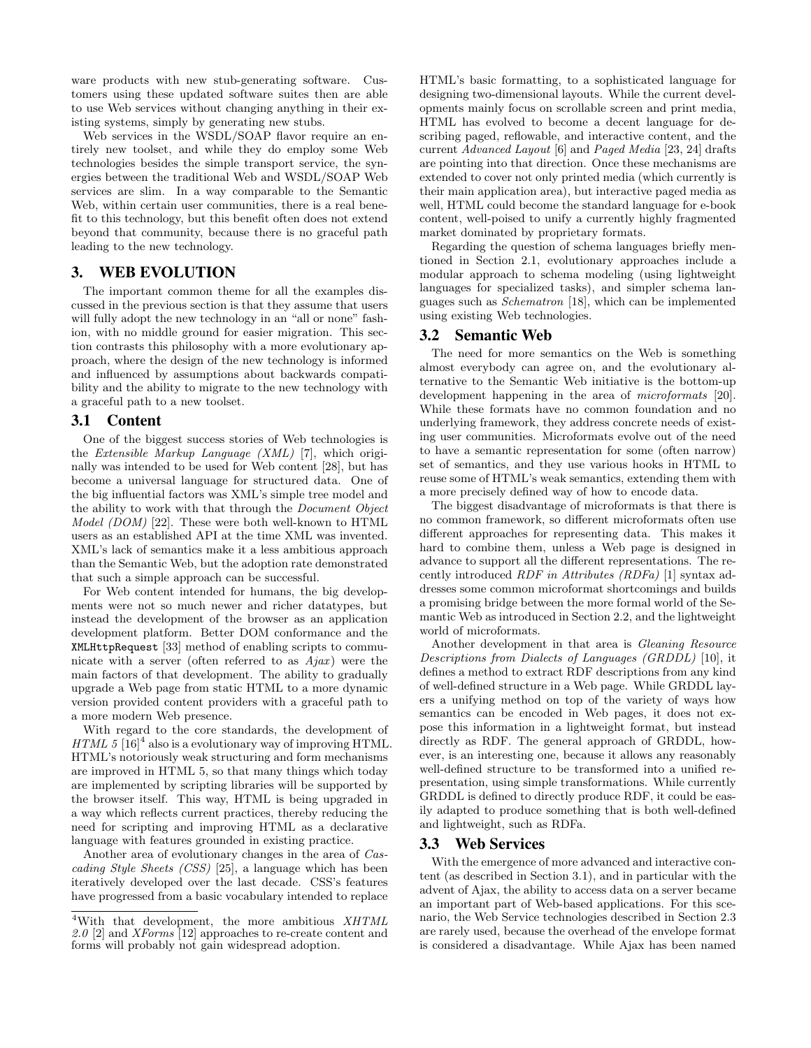<span id="page-2-0"></span>ware products with new stub-generating software. Customers using these updated software suites then are able to use Web services without changing anything in their existing systems, simply by generating new stubs.

Web services in the WSDL/SOAP flavor require an entirely new toolset, and while they do employ some Web technologies besides the simple transport service, the synergies between the traditional Web and WSDL/SOAP Web services are slim. In a way comparable to the Semantic Web, within certain user communities, there is a real benefit to this technology, but this benefit often does not extend beyond that community, because there is no graceful path leading to the new technology.

## 3. WEB EVOLUTION

The important common theme for all the examples discussed in the previous section is that they assume that users will fully adopt the new technology in an "all or none" fashion, with no middle ground for easier migration. This section contrasts this philosophy with a more evolutionary approach, where the design of the new technology is informed and influenced by assumptions about backwards compatibility and the ability to migrate to the new technology with a graceful path to a new toolset.

#### 3.1 Content

One of the biggest success stories of Web technologies is the Extensible Markup Language (XML) [\[7\]](#page-4-0), which originally was intended to be used for Web content [\[28\]](#page-4-0), but has become a universal language for structured data. One of the big influential factors was XML's simple tree model and the ability to work with that through the Document Object Model (DOM) [\[22\]](#page-4-0). These were both well-known to HTML users as an established API at the time XML was invented. XML's lack of semantics make it a less ambitious approach than the Semantic Web, but the adoption rate demonstrated that such a simple approach can be successful.

For Web content intended for humans, the big developments were not so much newer and richer datatypes, but instead the development of the browser as an application development platform. Better DOM conformance and the XMLHttpRequest [\[33\]](#page-4-0) method of enabling scripts to communicate with a server (often referred to as  $Aja x$ ) were the main factors of that development. The ability to gradually upgrade a Web page from static HTML to a more dynamic version provided content providers with a graceful path to a more modern Web presence.

With regard to the core standards, the development of HTML 5  $[16]^4$  $[16]^4$  also is a evolutionary way of improving HTML. HTML's notoriously weak structuring and form mechanisms are improved in HTML 5, so that many things which today are implemented by scripting libraries will be supported by the browser itself. This way, HTML is being upgraded in a way which reflects current practices, thereby reducing the need for scripting and improving HTML as a declarative language with features grounded in existing practice.

Another area of evolutionary changes in the area of Cascading Style Sheets (CSS) [\[25\]](#page-4-0), a language which has been iteratively developed over the last decade. CSS's features have progressed from a basic vocabulary intended to replace HTML's basic formatting, to a sophisticated language for designing two-dimensional layouts. While the current developments mainly focus on scrollable screen and print media, HTML has evolved to become a decent language for describing paged, reflowable, and interactive content, and the current Advanced Layout [\[6\]](#page-4-0) and Paged Media [\[23,](#page-4-0) [24\]](#page-4-0) drafts are pointing into that direction. Once these mechanisms are extended to cover not only printed media (which currently is their main application area), but interactive paged media as well, HTML could become the standard language for e-book content, well-poised to unify a currently highly fragmented market dominated by proprietary formats.

Regarding the question of schema languages briefly mentioned in Section [2.1,](#page-1-0) evolutionary approaches include a modular approach to schema modeling (using lightweight languages for specialized tasks), and simpler schema languages such as Schematron [\[18\]](#page-4-0), which can be implemented using existing Web technologies.

#### 3.2 Semantic Web

The need for more semantics on the Web is something almost everybody can agree on, and the evolutionary alternative to the Semantic Web initiative is the bottom-up development happening in the area of *microformats* [\[20\]](#page-4-0). While these formats have no common foundation and no underlying framework, they address concrete needs of existing user communities. Microformats evolve out of the need to have a semantic representation for some (often narrow) set of semantics, and they use various hooks in HTML to reuse some of HTML's weak semantics, extending them with a more precisely defined way of how to encode data.

The biggest disadvantage of microformats is that there is no common framework, so different microformats often use different approaches for representing data. This makes it hard to combine them, unless a Web page is designed in advance to support all the different representations. The recently introduced RDF in Attributes (RDFa) [\[1\]](#page-4-0) syntax addresses some common microformat shortcomings and builds a promising bridge between the more formal world of the Semantic Web as introduced in Section [2.2,](#page-1-0) and the lightweight world of microformats.

Another development in that area is Gleaning Resource Descriptions from Dialects of Languages (GRDDL) [\[10\]](#page-4-0), it defines a method to extract RDF descriptions from any kind of well-defined structure in a Web page. While GRDDL layers a unifying method on top of the variety of ways how semantics can be encoded in Web pages, it does not expose this information in a lightweight format, but instead directly as RDF. The general approach of GRDDL, however, is an interesting one, because it allows any reasonably well-defined structure to be transformed into a unified representation, using simple transformations. While currently GRDDL is defined to directly produce RDF, it could be easily adapted to produce something that is both well-defined and lightweight, such as RDFa.

#### 3.3 Web Services

With the emergence of more advanced and interactive content (as described in Section 3.1), and in particular with the advent of Ajax, the ability to access data on a server became an important part of Web-based applications. For this scenario, the Web Service technologies described in Section [2.3](#page-1-0) are rarely used, because the overhead of the envelope format is considered a disadvantage. While Ajax has been named

 $4$ With that development, the more ambitious  $XHTML$  $2.0$  [\[2\]](#page-4-0) and  $XForms$  [\[12\]](#page-4-0) approaches to re-create content and forms will probably not gain widespread adoption.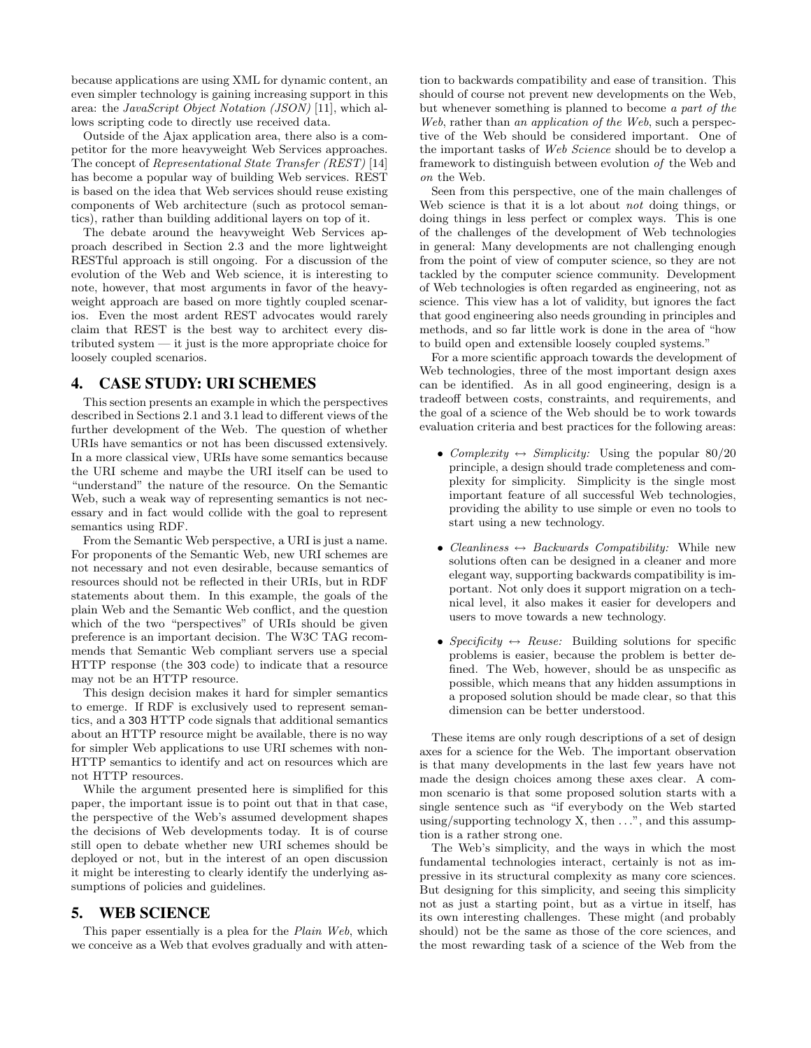<span id="page-3-0"></span>because applications are using XML for dynamic content, an even simpler technology is gaining increasing support in this area: the JavaScript Object Notation (JSON) [\[11\]](#page-4-0), which allows scripting code to directly use received data.

Outside of the Ajax application area, there also is a competitor for the more heavyweight Web Services approaches. The concept of Representational State Transfer (REST) [\[14\]](#page-4-0) has become a popular way of building Web services. REST is based on the idea that Web services should reuse existing components of Web architecture (such as protocol semantics), rather than building additional layers on top of it.

The debate around the heavyweight Web Services approach described in Section [2.3](#page-1-0) and the more lightweight RESTful approach is still ongoing. For a discussion of the evolution of the Web and Web science, it is interesting to note, however, that most arguments in favor of the heavyweight approach are based on more tightly coupled scenarios. Even the most ardent REST advocates would rarely claim that REST is the best way to architect every distributed system — it just is the more appropriate choice for loosely coupled scenarios.

## 4. CASE STUDY: URI SCHEMES

This section presents an example in which the perspectives described in Sections [2.1](#page-1-0) and [3.1](#page-2-0) lead to different views of the further development of the Web. The question of whether URIs have semantics or not has been discussed extensively. In a more classical view, URIs have some semantics because the URI scheme and maybe the URI itself can be used to "understand" the nature of the resource. On the Semantic Web, such a weak way of representing semantics is not necessary and in fact would collide with the goal to represent semantics using RDF.

From the Semantic Web perspective, a URI is just a name. For proponents of the Semantic Web, new URI schemes are not necessary and not even desirable, because semantics of resources should not be reflected in their URIs, but in RDF statements about them. In this example, the goals of the plain Web and the Semantic Web conflict, and the question which of the two "perspectives" of URIs should be given preference is an important decision. The W3C TAG recommends that Semantic Web compliant servers use a special HTTP response (the 303 code) to indicate that a resource may not be an HTTP resource.

This design decision makes it hard for simpler semantics to emerge. If RDF is exclusively used to represent semantics, and a 303 HTTP code signals that additional semantics about an HTTP resource might be available, there is no way for simpler Web applications to use URI schemes with non-HTTP semantics to identify and act on resources which are not HTTP resources.

While the argument presented here is simplified for this paper, the important issue is to point out that in that case, the perspective of the Web's assumed development shapes the decisions of Web developments today. It is of course still open to debate whether new URI schemes should be deployed or not, but in the interest of an open discussion it might be interesting to clearly identify the underlying assumptions of policies and guidelines.

# 5. WEB SCIENCE

This paper essentially is a plea for the *Plain Web*, which we conceive as a Web that evolves gradually and with attention to backwards compatibility and ease of transition. This should of course not prevent new developments on the Web, but whenever something is planned to become a part of the Web, rather than an application of the Web, such a perspective of the Web should be considered important. One of the important tasks of Web Science should be to develop a framework to distinguish between evolution of the Web and on the Web.

Seen from this perspective, one of the main challenges of Web science is that it is a lot about *not* doing things, or doing things in less perfect or complex ways. This is one of the challenges of the development of Web technologies in general: Many developments are not challenging enough from the point of view of computer science, so they are not tackled by the computer science community. Development of Web technologies is often regarded as engineering, not as science. This view has a lot of validity, but ignores the fact that good engineering also needs grounding in principles and methods, and so far little work is done in the area of "how to build open and extensible loosely coupled systems."

For a more scientific approach towards the development of Web technologies, three of the most important design axes can be identified. As in all good engineering, design is a tradeoff between costs, constraints, and requirements, and the goal of a science of the Web should be to work towards evaluation criteria and best practices for the following areas:

- Complexity  $\leftrightarrow$  Simplicity: Using the popular 80/20 principle, a design should trade completeness and complexity for simplicity. Simplicity is the single most important feature of all successful Web technologies, providing the ability to use simple or even no tools to start using a new technology.
- Cleanliness  $\leftrightarrow$  Backwards Compatibility: While new solutions often can be designed in a cleaner and more elegant way, supporting backwards compatibility is important. Not only does it support migration on a technical level, it also makes it easier for developers and users to move towards a new technology.
- Specificity  $\leftrightarrow$  Reuse: Building solutions for specific problems is easier, because the problem is better defined. The Web, however, should be as unspecific as possible, which means that any hidden assumptions in a proposed solution should be made clear, so that this dimension can be better understood.

These items are only rough descriptions of a set of design axes for a science for the Web. The important observation is that many developments in the last few years have not made the design choices among these axes clear. A common scenario is that some proposed solution starts with a single sentence such as "if everybody on the Web started using/supporting technology  $X$ , then  $\dots$ ", and this assumption is a rather strong one.

The Web's simplicity, and the ways in which the most fundamental technologies interact, certainly is not as impressive in its structural complexity as many core sciences. But designing for this simplicity, and seeing this simplicity not as just a starting point, but as a virtue in itself, has its own interesting challenges. These might (and probably should) not be the same as those of the core sciences, and the most rewarding task of a science of the Web from the